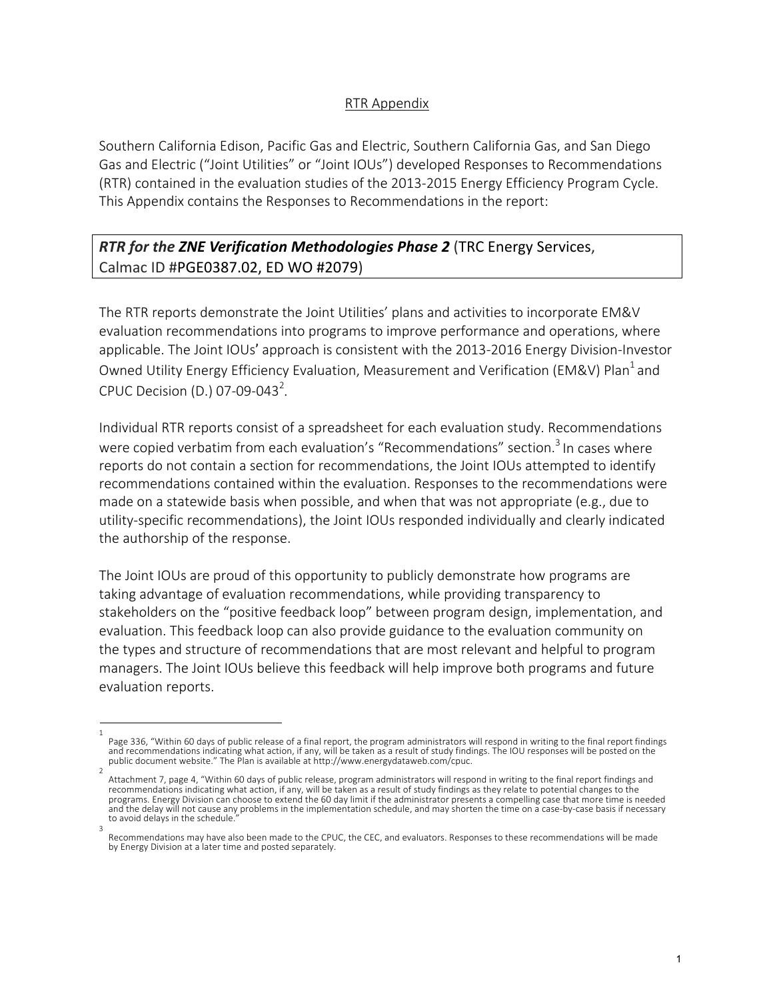## RTR Appendix

Southern California Edison, Pacific Gas and Electric, Southern California Gas, and San Diego Gas and Electric ("Joint Utilities" or "Joint IOUs") developed Responses to Recommendations (RTR) contained in the evaluation studies of the 2013-2015 Energy Efficiency Program Cycle. This Appendix contains the Responses to Recommendations in the report:

## *RTR for the ZNE Verification Methodologies Phase 2* (TRC Energy Services, Calmac ID #PGE0387.02, ED WO #2079)

The RTR reports demonstrate the Joint Utilities' plans and activities to incorporate EM&V evaluation recommendations into programs to improve performance and operations, where applicable. The Joint IOUs' approach is consistent with the 2013-2016 Energy Division-Investor Owned Utility Energy Efficiency Evaluation, Measurement and Verification (EM&V) Plan<sup>1</sup> and CPUC Decision (D.) 07-09-043<sup>2</sup>.

Individual RTR reports consist of a spreadsheet for each evaluation study. Recommendations were copied verbatim from each evaluation's "Recommendations" section.<sup>3</sup> In cases where reports do not contain a section for recommendations, the Joint IOUs attempted to identify recommendations contained within the evaluation. Responses to the recommendations were made on a statewide basis when possible, and when that was not appropriate (e.g., due to utility-specific recommendations), the Joint IOUs responded individually and clearly indicated the authorship of the response.

The Joint IOUs are proud of this opportunity to publicly demonstrate how programs are taking advantage of evaluation recommendations, while providing transparency to stakeholders on the "positive feedback loop" between program design, implementation, and evaluation. This feedback loop can also provide guidance to the evaluation community on the types and structure of recommendations that are most relevant and helpful to program managers. The Joint IOUs believe this feedback will help improve both programs and future evaluation reports.

<sup>1</sup>  Page 336, "Within 60 days of public release of a final report, the program administrators will respond in writing to the final report findings and recommendations indicating what action, if any, will be taken as a result of study findings. The IOU responses will be posted on the public document website." The Plan is available at http://www.energydataweb.com/cpuc.

Attachment 7, page 4, "Within 60 days of public release, program administrators will respond in writing to the final report findings and recommendations indicating what action, if any, will be taken as a result of study findings as they relate to potential changes to the programs. Energy Division can choose to extend the 60 day limit if the administrator presents a compelling case that more time is needed and the delay will not cause any problems in the implementation schedule, and may shorten the time on a case-by-case basis if necessary to avoid delays in the schedule. 3

Recommendations may have also been made to the CPUC, the CEC, and evaluators. Responses to these recommendations will be made by Energy Division at a later time and posted separately.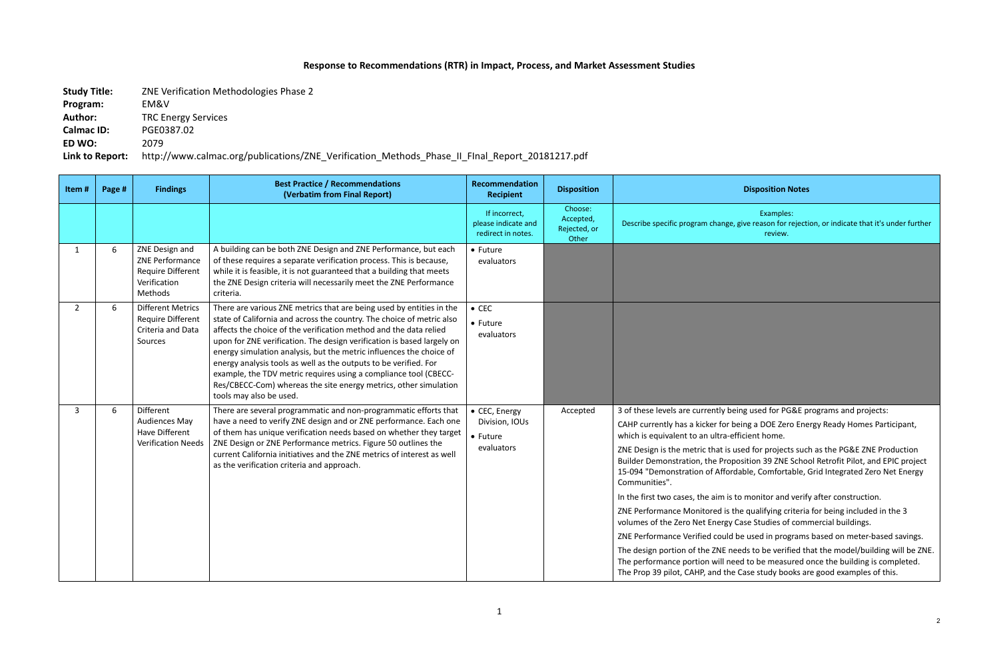## **Response to Recommendations (RTR) in Impact, Process, and Market Assessment Studies**

**Study Title:** ZNE Verification Methodologies Phase 2 **Program:** EM&V **Author:** TRC Energy Services **Calmac ID:** PGE0387.02 **ED WO:** 2079

**Link to Report:** http://www.calmac.org/publications/ZNE\_Verification\_Methods\_Phase\_II\_FInal\_Report\_20181217.pdf

## **Recipient Disposition Disposition Notes**

Examples: , give reason for rejection, or indicate that it's under further review.

eing used for PG&E programs and projects:

being a DOE Zero Energy Ready Homes Participant, efficient home.

used for projects such as the PG&E ZNE Production position 39 ZNE School Retrofit Pilot, and EPIC project rdable, Comfortable, Grid Integrated Zero Net Energy

In to monitor and verify after construction.

the qualifying criteria for being included in the 3 Gase Studies of commercial buildings.

I be used in programs based on meter-based savings.

needs to be verified that the model/building will be ZNE. eed to be measured once the building is completed. e Case study books are good examples of this.

| Item#        | Page # | <b>Findings</b>                                                                          | <b>Best Practice / Recommendations</b><br>(Verbatim from Final Report)                                                                                                                                                                                                                                                                                                                                                                                                                                                                                                                                     | Recommendation<br><b>Recipient</b>                         | <b>Disposition</b>                            |                                                                                                                                                                                                                                                                                                                                                                                                                                                                                        |
|--------------|--------|------------------------------------------------------------------------------------------|------------------------------------------------------------------------------------------------------------------------------------------------------------------------------------------------------------------------------------------------------------------------------------------------------------------------------------------------------------------------------------------------------------------------------------------------------------------------------------------------------------------------------------------------------------------------------------------------------------|------------------------------------------------------------|-----------------------------------------------|----------------------------------------------------------------------------------------------------------------------------------------------------------------------------------------------------------------------------------------------------------------------------------------------------------------------------------------------------------------------------------------------------------------------------------------------------------------------------------------|
|              |        |                                                                                          |                                                                                                                                                                                                                                                                                                                                                                                                                                                                                                                                                                                                            | If incorrect,<br>please indicate and<br>redirect in notes. | Choose:<br>Accepted,<br>Rejected, or<br>Other | Describe specific program change                                                                                                                                                                                                                                                                                                                                                                                                                                                       |
| $\mathbf{1}$ | 6      | ZNE Design and<br>ZNE Performance<br><b>Require Different</b><br>Verification<br>Methods | A building can be both ZNE Design and ZNE Performance, but each<br>of these requires a separate verification process. This is because,<br>while it is feasible, it is not guaranteed that a building that meets<br>the ZNE Design criteria will necessarily meet the ZNE Performance<br>criteria.                                                                                                                                                                                                                                                                                                          | • Future<br>evaluators                                     |                                               |                                                                                                                                                                                                                                                                                                                                                                                                                                                                                        |
| $2^{\circ}$  | 6      | <b>Different Metrics</b><br><b>Require Different</b><br>Criteria and Data<br>Sources     | There are various ZNE metrics that are being used by entities in the<br>state of California and across the country. The choice of metric also<br>affects the choice of the verification method and the data relied<br>upon for ZNE verification. The design verification is based largely on<br>energy simulation analysis, but the metric influences the choice of<br>energy analysis tools as well as the outputs to be verified. For<br>example, the TDV metric requires using a compliance tool (CBECC-<br>Res/CBECC-Com) whereas the site energy metrics, other simulation<br>tools may also be used. | $\bullet$ CEC<br>• Future<br>evaluators                    |                                               |                                                                                                                                                                                                                                                                                                                                                                                                                                                                                        |
| 3            | 6      | Different<br><b>Audiences May</b><br>Have Different<br><b>Verification Needs</b>         | There are several programmatic and non-programmatic efforts that<br>have a need to verify ZNE design and or ZNE performance. Each one<br>of them has unique verification needs based on whether they target<br>ZNE Design or ZNE Performance metrics. Figure 50 outlines the<br>current California initiatives and the ZNE metrics of interest as well<br>as the verification criteria and approach.                                                                                                                                                                                                       | • CEC, Energy<br>Division, IOUs<br>• Future<br>evaluators  | Accepted                                      | 3 of these levels are currently b<br>CAHP currently has a kicker for<br>which is equivalent to an ultra-e<br>ZNE Design is the metric that is<br>Builder Demonstration, the Pro<br>15-094 "Demonstration of Affor<br>Communities".<br>In the first two cases, the aim is<br>ZNE Performance Monitored is<br>volumes of the Zero Net Energy<br>ZNE Performance Verified could<br>The design portion of the ZNE n<br>The performance portion will no<br>The Prop 39 pilot, CAHP, and the |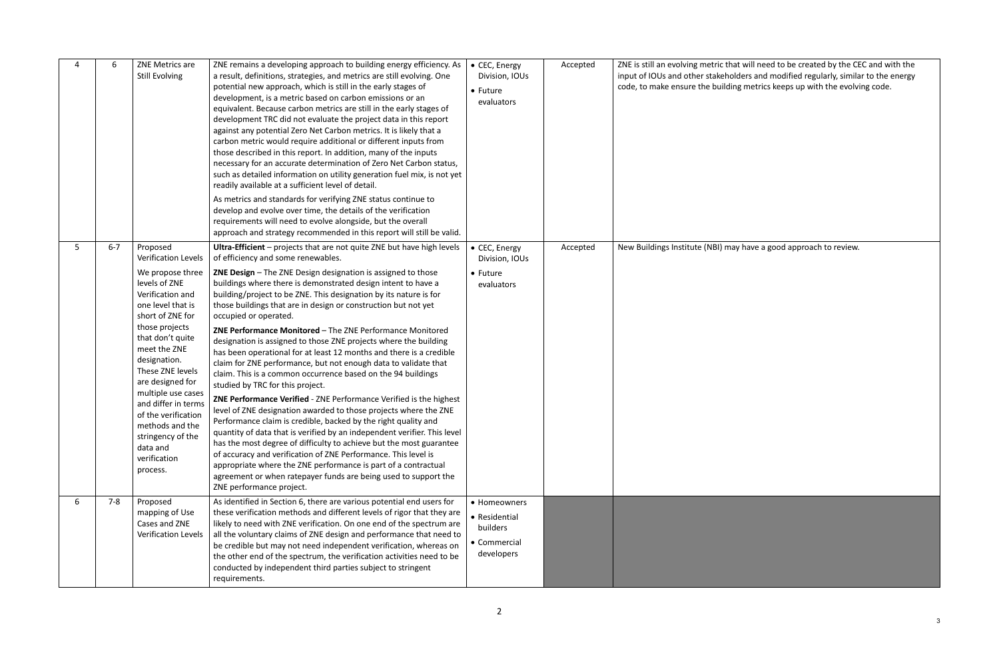Accepted  $\vert$  ZNE is still an evolving metric that will need to be created by the CEC and with the input of IOUs and other stakeholders and modified regularly, similar to the energy ling metrics keeps up with the evolving code.

 $\overline{\phantom{a}}$  accepted approach to review.

|   | 6       | ZNE Metrics are<br><b>Still Evolving</b>                                                                                                                                                                                                                                                                                                                         | ZNE remains a developing approach to building energy efficiency. As<br>a result, definitions, strategies, and metrics are still evolving. One<br>potential new approach, which is still in the early stages of<br>development, is a metric based on carbon emissions or an<br>equivalent. Because carbon metrics are still in the early stages of<br>development TRC did not evaluate the project data in this report<br>against any potential Zero Net Carbon metrics. It is likely that a<br>carbon metric would require additional or different inputs from<br>those described in this report. In addition, many of the inputs<br>necessary for an accurate determination of Zero Net Carbon status,<br>such as detailed information on utility generation fuel mix, is not yet<br>readily available at a sufficient level of detail.<br>As metrics and standards for verifying ZNE status continue to | • CEC, Energy<br>Division, IOUs<br>• Future<br>evaluators               | Accepted | ZNE is still an evolving metric th<br>input of IOUs and other stakeho<br>code, to make ensure the buildi |
|---|---------|------------------------------------------------------------------------------------------------------------------------------------------------------------------------------------------------------------------------------------------------------------------------------------------------------------------------------------------------------------------|-----------------------------------------------------------------------------------------------------------------------------------------------------------------------------------------------------------------------------------------------------------------------------------------------------------------------------------------------------------------------------------------------------------------------------------------------------------------------------------------------------------------------------------------------------------------------------------------------------------------------------------------------------------------------------------------------------------------------------------------------------------------------------------------------------------------------------------------------------------------------------------------------------------|-------------------------------------------------------------------------|----------|----------------------------------------------------------------------------------------------------------|
|   |         |                                                                                                                                                                                                                                                                                                                                                                  | develop and evolve over time, the details of the verification<br>requirements will need to evolve alongside, but the overall<br>approach and strategy recommended in this report will still be valid.                                                                                                                                                                                                                                                                                                                                                                                                                                                                                                                                                                                                                                                                                                     |                                                                         |          |                                                                                                          |
| 5 | $6 - 7$ | Proposed<br><b>Verification Levels</b>                                                                                                                                                                                                                                                                                                                           | Ultra-Efficient - projects that are not quite ZNE but have high levels<br>of efficiency and some renewables.                                                                                                                                                                                                                                                                                                                                                                                                                                                                                                                                                                                                                                                                                                                                                                                              | • CEC, Energy<br>Division, IOUs                                         | Accepted | New Buildings Institute (NBI) ma                                                                         |
|   |         | We propose three<br>levels of ZNE<br>Verification and<br>one level that is<br>short of ZNE for<br>those projects<br>that don't quite<br>meet the ZNE<br>designation.<br>These ZNE levels<br>are designed for<br>multiple use cases<br>and differ in terms<br>of the verification<br>methods and the<br>stringency of the<br>data and<br>verification<br>process. | <b>ZNE Design</b> - The ZNE Design designation is assigned to those<br>buildings where there is demonstrated design intent to have a<br>building/project to be ZNE. This designation by its nature is for<br>those buildings that are in design or construction but not yet<br>occupied or operated.                                                                                                                                                                                                                                                                                                                                                                                                                                                                                                                                                                                                      | $\bullet$ Future<br>evaluators                                          |          |                                                                                                          |
|   |         |                                                                                                                                                                                                                                                                                                                                                                  | ZNE Performance Monitored - The ZNE Performance Monitored<br>designation is assigned to those ZNE projects where the building<br>has been operational for at least 12 months and there is a credible<br>claim for ZNE performance, but not enough data to validate that<br>claim. This is a common occurrence based on the 94 buildings<br>studied by TRC for this project.                                                                                                                                                                                                                                                                                                                                                                                                                                                                                                                               |                                                                         |          |                                                                                                          |
|   |         |                                                                                                                                                                                                                                                                                                                                                                  | ZNE Performance Verified - ZNE Performance Verified is the highest<br>level of ZNE designation awarded to those projects where the ZNE<br>Performance claim is credible, backed by the right quality and<br>quantity of data that is verified by an independent verifier. This level<br>has the most degree of difficulty to achieve but the most guarantee<br>of accuracy and verification of ZNE Performance. This level is<br>appropriate where the ZNE performance is part of a contractual<br>agreement or when ratepayer funds are being used to support the<br>ZNE performance project.                                                                                                                                                                                                                                                                                                            |                                                                         |          |                                                                                                          |
| 6 | $7 - 8$ | Proposed<br>mapping of Use<br>Cases and ZNE<br><b>Verification Levels</b>                                                                                                                                                                                                                                                                                        | As identified in Section 6, there are various potential end users for<br>these verification methods and different levels of rigor that they are<br>likely to need with ZNE verification. On one end of the spectrum are<br>all the voluntary claims of ZNE design and performance that need to<br>be credible but may not need independent verification, whereas on<br>the other end of the spectrum, the verification activities need to be<br>conducted by independent third parties subject to stringent<br>requirements.                                                                                                                                                                                                                                                                                                                                                                              | • Homeowners<br>• Residential<br>builders<br>• Commercial<br>developers |          |                                                                                                          |